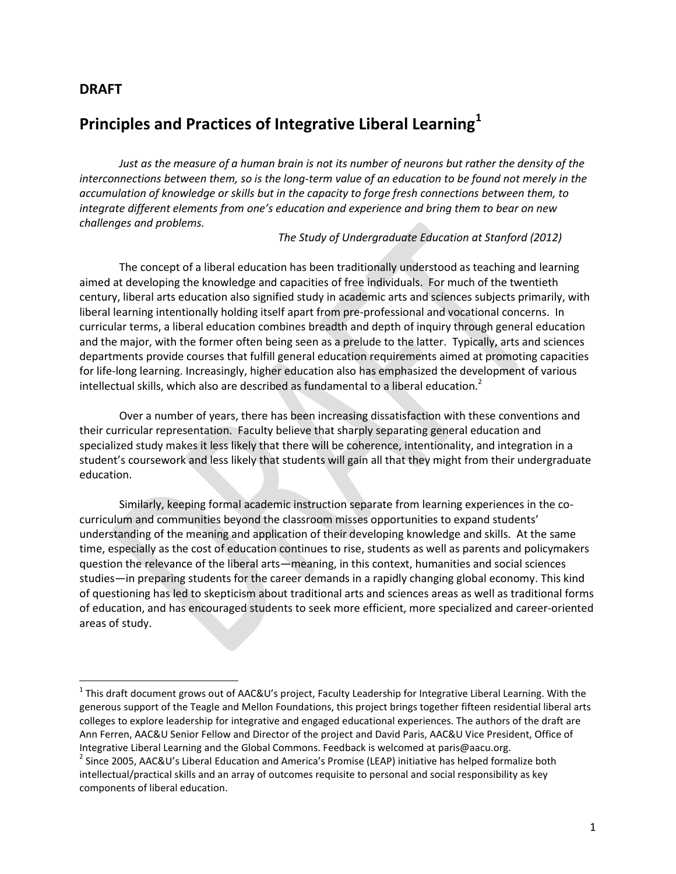#### **DRAFT**

 $\overline{\phantom{a}}$ 

# **Principles and Practices of Integrative Liberal Learning<sup>1</sup>**

*Just as the measure of a human brain is not its number of neurons but rather the density of the interconnections between them, so is the long-term value of an education to be found not merely in the accumulation of knowledge or skills but in the capacity to forge fresh connections between them, to integrate different elements from one's education and experience and bring them to bear on new challenges and problems.*

*The Study of Undergraduate Education at Stanford (2012)*

The concept of a liberal education has been traditionally understood as teaching and learning aimed at developing the knowledge and capacities of free individuals. For much of the twentieth century, liberal arts education also signified study in academic arts and sciences subjects primarily, with liberal learning intentionally holding itself apart from pre-professional and vocational concerns. In curricular terms, a liberal education combines breadth and depth of inquiry through general education and the major, with the former often being seen as a prelude to the latter. Typically, arts and sciences departments provide courses that fulfill general education requirements aimed at promoting capacities for life-long learning. Increasingly, higher education also has emphasized the development of various intellectual skills, which also are described as fundamental to a liberal education.<sup>2</sup>

Over a number of years, there has been increasing dissatisfaction with these conventions and their curricular representation. Faculty believe that sharply separating general education and specialized study makes it less likely that there will be coherence, intentionality, and integration in a student's coursework and less likely that students will gain all that they might from their undergraduate education.

Similarly, keeping formal academic instruction separate from learning experiences in the cocurriculum and communities beyond the classroom misses opportunities to expand students' understanding of the meaning and application of their developing knowledge and skills. At the same time, especially as the cost of education continues to rise, students as well as parents and policymakers question the relevance of the liberal arts—meaning, in this context, humanities and social sciences studies—in preparing students for the career demands in a rapidly changing global economy. This kind of questioning has led to skepticism about traditional arts and sciences areas as well as traditional forms of education, and has encouraged students to seek more efficient, more specialized and career-oriented areas of study.

<sup>&</sup>lt;sup>1</sup> This draft document grows out of AAC&U's project, Faculty Leadership for Integrative Liberal Learning. With the generous support of the Teagle and Mellon Foundations, this project brings together fifteen residential liberal arts colleges to explore leadership for integrative and engaged educational experiences. The authors of the draft are Ann Ferren, AAC&U Senior Fellow and Director of the project and David Paris, AAC&U Vice President, Office of Integrative Liberal Learning and the Global Commons. Feedback is welcomed at paris@aacu.org.

<sup>&</sup>lt;sup>2</sup> Since 2005, AAC&U's Liberal Education and America's Promise (LEAP) initiative has helped formalize both intellectual/practical skills and an array of outcomes requisite to personal and social responsibility as key components of liberal education.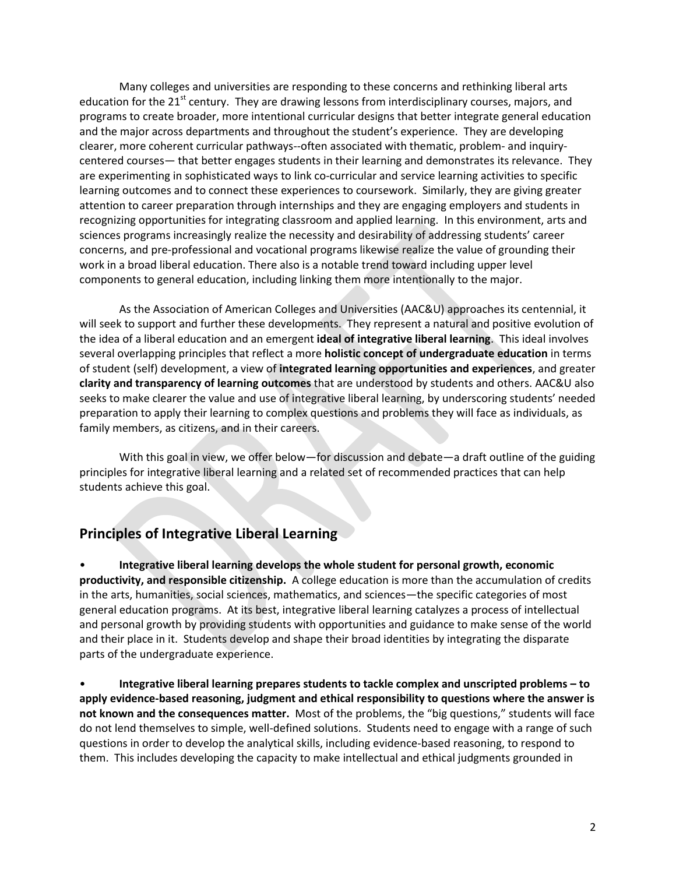Many colleges and universities are responding to these concerns and rethinking liberal arts education for the  $21<sup>st</sup>$  century. They are drawing lessons from interdisciplinary courses, majors, and programs to create broader, more intentional curricular designs that better integrate general education and the major across departments and throughout the student's experience. They are developing clearer, more coherent curricular pathways--often associated with thematic, problem- and inquirycentered courses— that better engages students in their learning and demonstrates its relevance. They are experimenting in sophisticated ways to link co-curricular and service learning activities to specific learning outcomes and to connect these experiences to coursework. Similarly, they are giving greater attention to career preparation through internships and they are engaging employers and students in recognizing opportunities for integrating classroom and applied learning. In this environment, arts and sciences programs increasingly realize the necessity and desirability of addressing students' career concerns, and pre-professional and vocational programs likewise realize the value of grounding their work in a broad liberal education. There also is a notable trend toward including upper level components to general education, including linking them more intentionally to the major.

As the Association of American Colleges and Universities (AAC&U) approaches its centennial, it will seek to support and further these developments. They represent a natural and positive evolution of the idea of a liberal education and an emergent **ideal of integrative liberal learning**. This ideal involves several overlapping principles that reflect a more **holistic concept of undergraduate education** in terms of student (self) development, a view of **integrated learning opportunities and experiences**, and greater **clarity and transparency of learning outcomes** that are understood by students and others. AAC&U also seeks to make clearer the value and use of integrative liberal learning, by underscoring students' needed preparation to apply their learning to complex questions and problems they will face as individuals, as family members, as citizens, and in their careers.

With this goal in view, we offer below—for discussion and debate—a draft outline of the guiding principles for integrative liberal learning and a related set of recommended practices that can help students achieve this goal.

#### **Principles of Integrative Liberal Learning**

• **Integrative liberal learning develops the whole student for personal growth, economic productivity, and responsible citizenship.** A college education is more than the accumulation of credits in the arts, humanities, social sciences, mathematics, and sciences—the specific categories of most general education programs. At its best, integrative liberal learning catalyzes a process of intellectual and personal growth by providing students with opportunities and guidance to make sense of the world and their place in it. Students develop and shape their broad identities by integrating the disparate parts of the undergraduate experience.

• **Integrative liberal learning prepares students to tackle complex and unscripted problems – to apply evidence-based reasoning, judgment and ethical responsibility to questions where the answer is not known and the consequences matter.** Most of the problems, the "big questions," students will face do not lend themselves to simple, well-defined solutions. Students need to engage with a range of such questions in order to develop the analytical skills, including evidence-based reasoning, to respond to them. This includes developing the capacity to make intellectual and ethical judgments grounded in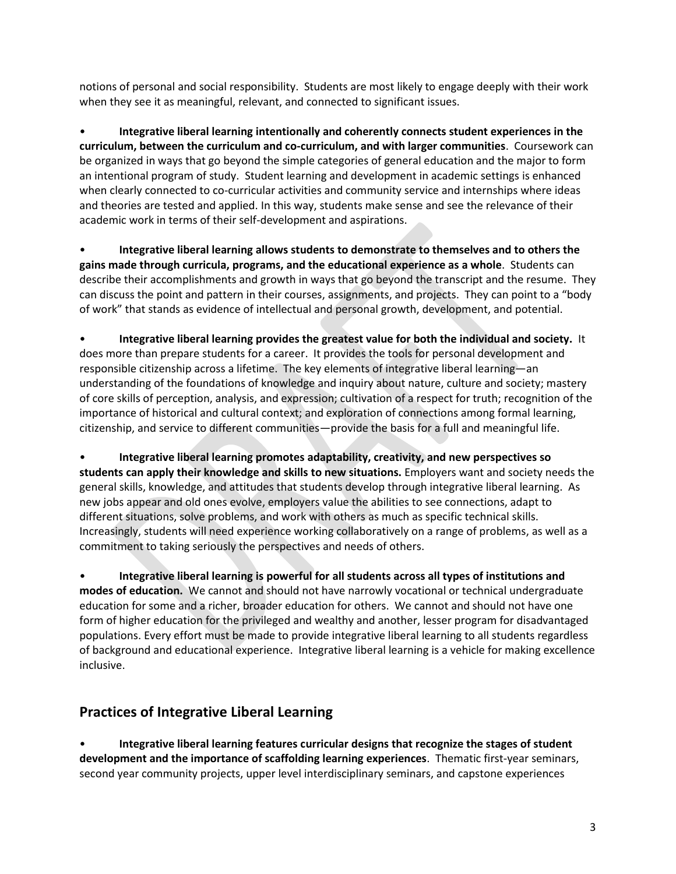notions of personal and social responsibility. Students are most likely to engage deeply with their work when they see it as meaningful, relevant, and connected to significant issues.

• **Integrative liberal learning intentionally and coherently connects student experiences in the curriculum, between the curriculum and co-curriculum, and with larger communities**. Coursework can be organized in ways that go beyond the simple categories of general education and the major to form an intentional program of study. Student learning and development in academic settings is enhanced when clearly connected to co-curricular activities and community service and internships where ideas and theories are tested and applied. In this way, students make sense and see the relevance of their academic work in terms of their self-development and aspirations.

• **Integrative liberal learning allows students to demonstrate to themselves and to others the gains made through curricula, programs, and the educational experience as a whole**. Students can describe their accomplishments and growth in ways that go beyond the transcript and the resume. They can discuss the point and pattern in their courses, assignments, and projects. They can point to a "body of work" that stands as evidence of intellectual and personal growth, development, and potential.

• **Integrative liberal learning provides the greatest value for both the individual and society.** It does more than prepare students for a career. It provides the tools for personal development and responsible citizenship across a lifetime. The key elements of integrative liberal learning—an understanding of the foundations of knowledge and inquiry about nature, culture and society; mastery of core skills of perception, analysis, and expression; cultivation of a respect for truth; recognition of the importance of historical and cultural context; and exploration of connections among formal learning, citizenship, and service to different communities—provide the basis for a full and meaningful life.

• **Integrative liberal learning promotes adaptability, creativity, and new perspectives so students can apply their knowledge and skills to new situations.** Employers want and society needs the general skills, knowledge, and attitudes that students develop through integrative liberal learning. As new jobs appear and old ones evolve, employers value the abilities to see connections, adapt to different situations, solve problems, and work with others as much as specific technical skills. Increasingly, students will need experience working collaboratively on a range of problems, as well as a commitment to taking seriously the perspectives and needs of others.

• **Integrative liberal learning is powerful for all students across all types of institutions and modes of education.** We cannot and should not have narrowly vocational or technical undergraduate education for some and a richer, broader education for others. We cannot and should not have one form of higher education for the privileged and wealthy and another, lesser program for disadvantaged populations. Every effort must be made to provide integrative liberal learning to all students regardless of background and educational experience. Integrative liberal learning is a vehicle for making excellence inclusive.

#### **Practices of Integrative Liberal Learning**

• **Integrative liberal learning features curricular designs that recognize the stages of student development and the importance of scaffolding learning experiences**. Thematic first-year seminars, second year community projects, upper level interdisciplinary seminars, and capstone experiences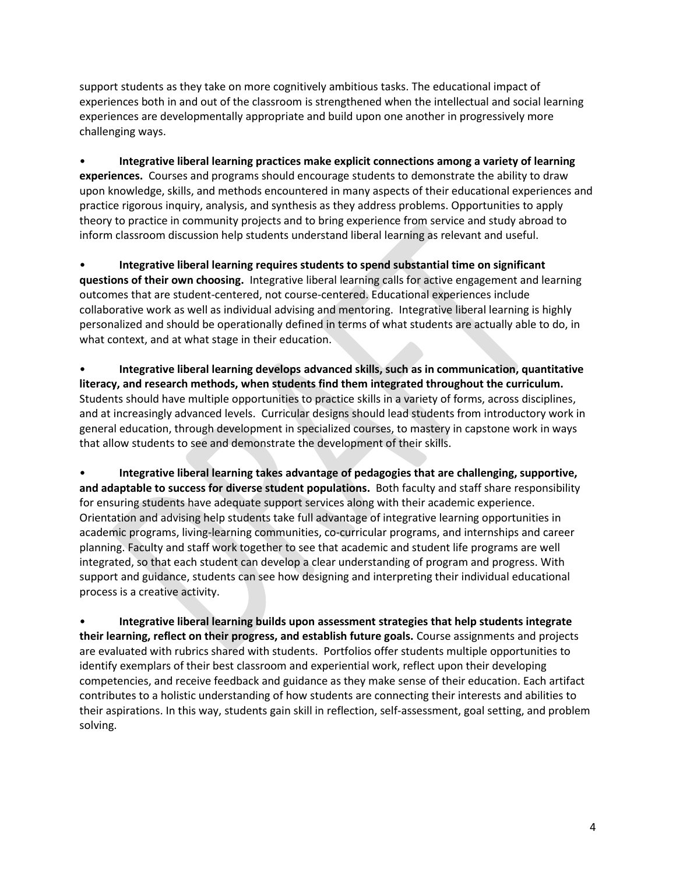support students as they take on more cognitively ambitious tasks. The educational impact of experiences both in and out of the classroom is strengthened when the intellectual and social learning experiences are developmentally appropriate and build upon one another in progressively more challenging ways.

• **Integrative liberal learning practices make explicit connections among a variety of learning experiences.** Courses and programs should encourage students to demonstrate the ability to draw upon knowledge, skills, and methods encountered in many aspects of their educational experiences and practice rigorous inquiry, analysis, and synthesis as they address problems. Opportunities to apply theory to practice in community projects and to bring experience from service and study abroad to inform classroom discussion help students understand liberal learning as relevant and useful.

• **Integrative liberal learning requires students to spend substantial time on significant questions of their own choosing.** Integrative liberal learning calls for active engagement and learning outcomes that are student-centered, not course-centered. Educational experiences include collaborative work as well as individual advising and mentoring. Integrative liberal learning is highly personalized and should be operationally defined in terms of what students are actually able to do, in what context, and at what stage in their education.

• **Integrative liberal learning develops advanced skills, such as in communication, quantitative literacy, and research methods, when students find them integrated throughout the curriculum.** Students should have multiple opportunities to practice skills in a variety of forms, across disciplines, and at increasingly advanced levels. Curricular designs should lead students from introductory work in general education, through development in specialized courses, to mastery in capstone work in ways that allow students to see and demonstrate the development of their skills.

• **Integrative liberal learning takes advantage of pedagogies that are challenging, supportive, and adaptable to success for diverse student populations.** Both faculty and staff share responsibility for ensuring students have adequate support services along with their academic experience. Orientation and advising help students take full advantage of integrative learning opportunities in academic programs, living-learning communities, co-curricular programs, and internships and career planning. Faculty and staff work together to see that academic and student life programs are well integrated, so that each student can develop a clear understanding of program and progress. With support and guidance, students can see how designing and interpreting their individual educational process is a creative activity.

• **Integrative liberal learning builds upon assessment strategies that help students integrate their learning, reflect on their progress, and establish future goals.** Course assignments and projects are evaluated with rubrics shared with students. Portfolios offer students multiple opportunities to identify exemplars of their best classroom and experiential work, reflect upon their developing competencies, and receive feedback and guidance as they make sense of their education. Each artifact contributes to a holistic understanding of how students are connecting their interests and abilities to their aspirations. In this way, students gain skill in reflection, self-assessment, goal setting, and problem solving.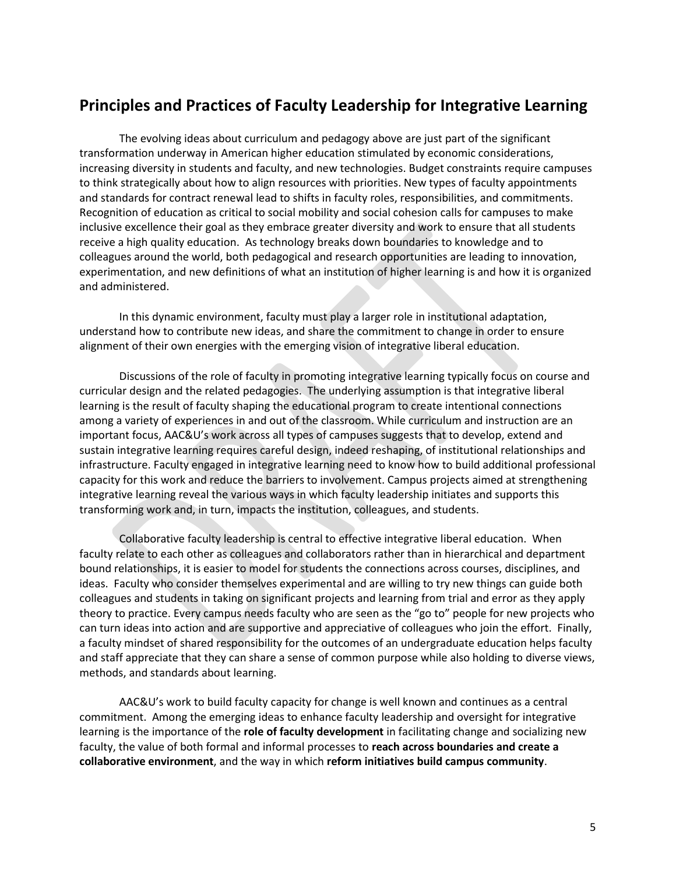### **Principles and Practices of Faculty Leadership for Integrative Learning**

The evolving ideas about curriculum and pedagogy above are just part of the significant transformation underway in American higher education stimulated by economic considerations, increasing diversity in students and faculty, and new technologies. Budget constraints require campuses to think strategically about how to align resources with priorities. New types of faculty appointments and standards for contract renewal lead to shifts in faculty roles, responsibilities, and commitments. Recognition of education as critical to social mobility and social cohesion calls for campuses to make inclusive excellence their goal as they embrace greater diversity and work to ensure that all students receive a high quality education. As technology breaks down boundaries to knowledge and to colleagues around the world, both pedagogical and research opportunities are leading to innovation, experimentation, and new definitions of what an institution of higher learning is and how it is organized and administered.

In this dynamic environment, faculty must play a larger role in institutional adaptation, understand how to contribute new ideas, and share the commitment to change in order to ensure alignment of their own energies with the emerging vision of integrative liberal education.

Discussions of the role of faculty in promoting integrative learning typically focus on course and curricular design and the related pedagogies. The underlying assumption is that integrative liberal learning is the result of faculty shaping the educational program to create intentional connections among a variety of experiences in and out of the classroom. While curriculum and instruction are an important focus, AAC&U's work across all types of campuses suggests that to develop, extend and sustain integrative learning requires careful design, indeed reshaping, of institutional relationships and infrastructure. Faculty engaged in integrative learning need to know how to build additional professional capacity for this work and reduce the barriers to involvement. Campus projects aimed at strengthening integrative learning reveal the various ways in which faculty leadership initiates and supports this transforming work and, in turn, impacts the institution, colleagues, and students.

Collaborative faculty leadership is central to effective integrative liberal education. When faculty relate to each other as colleagues and collaborators rather than in hierarchical and department bound relationships, it is easier to model for students the connections across courses, disciplines, and ideas. Faculty who consider themselves experimental and are willing to try new things can guide both colleagues and students in taking on significant projects and learning from trial and error as they apply theory to practice. Every campus needs faculty who are seen as the "go to" people for new projects who can turn ideas into action and are supportive and appreciative of colleagues who join the effort. Finally, a faculty mindset of shared responsibility for the outcomes of an undergraduate education helps faculty and staff appreciate that they can share a sense of common purpose while also holding to diverse views, methods, and standards about learning.

AAC&U's work to build faculty capacity for change is well known and continues as a central commitment. Among the emerging ideas to enhance faculty leadership and oversight for integrative learning is the importance of the **role of faculty development** in facilitating change and socializing new faculty, the value of both formal and informal processes to **reach across boundaries and create a collaborative environment**, and the way in which **reform initiatives build campus community**.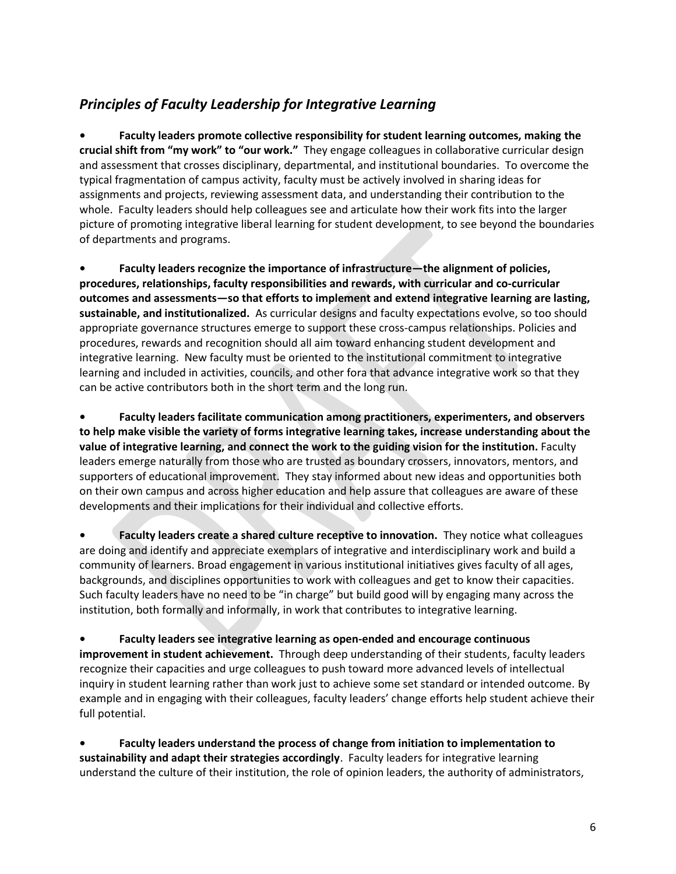### *Principles of Faculty Leadership for Integrative Learning*

**• Faculty leaders promote collective responsibility for student learning outcomes, making the crucial shift from "my work" to "our work."** They engage colleagues in collaborative curricular design and assessment that crosses disciplinary, departmental, and institutional boundaries. To overcome the typical fragmentation of campus activity, faculty must be actively involved in sharing ideas for assignments and projects, reviewing assessment data, and understanding their contribution to the whole. Faculty leaders should help colleagues see and articulate how their work fits into the larger picture of promoting integrative liberal learning for student development, to see beyond the boundaries of departments and programs.

**• Faculty leaders recognize the importance of infrastructure—the alignment of policies, procedures, relationships, faculty responsibilities and rewards, with curricular and co-curricular outcomes and assessments—so that efforts to implement and extend integrative learning are lasting, sustainable, and institutionalized.** As curricular designs and faculty expectations evolve, so too should appropriate governance structures emerge to support these cross-campus relationships. Policies and procedures, rewards and recognition should all aim toward enhancing student development and integrative learning. New faculty must be oriented to the institutional commitment to integrative learning and included in activities, councils, and other fora that advance integrative work so that they can be active contributors both in the short term and the long run.

**• Faculty leaders facilitate communication among practitioners, experimenters, and observers to help make visible the variety of forms integrative learning takes, increase understanding about the value of integrative learning, and connect the work to the guiding vision for the institution.** Faculty leaders emerge naturally from those who are trusted as boundary crossers, innovators, mentors, and supporters of educational improvement. They stay informed about new ideas and opportunities both on their own campus and across higher education and help assure that colleagues are aware of these developments and their implications for their individual and collective efforts.

**• Faculty leaders create a shared culture receptive to innovation.** They notice what colleagues are doing and identify and appreciate exemplars of integrative and interdisciplinary work and build a community of learners. Broad engagement in various institutional initiatives gives faculty of all ages, backgrounds, and disciplines opportunities to work with colleagues and get to know their capacities. Such faculty leaders have no need to be "in charge" but build good will by engaging many across the institution, both formally and informally, in work that contributes to integrative learning.

**• Faculty leaders see integrative learning as open-ended and encourage continuous improvement in student achievement.** Through deep understanding of their students, faculty leaders recognize their capacities and urge colleagues to push toward more advanced levels of intellectual inquiry in student learning rather than work just to achieve some set standard or intended outcome. By example and in engaging with their colleagues, faculty leaders' change efforts help student achieve their full potential.

**• Faculty leaders understand the process of change from initiation to implementation to sustainability and adapt their strategies accordingly**. Faculty leaders for integrative learning understand the culture of their institution, the role of opinion leaders, the authority of administrators,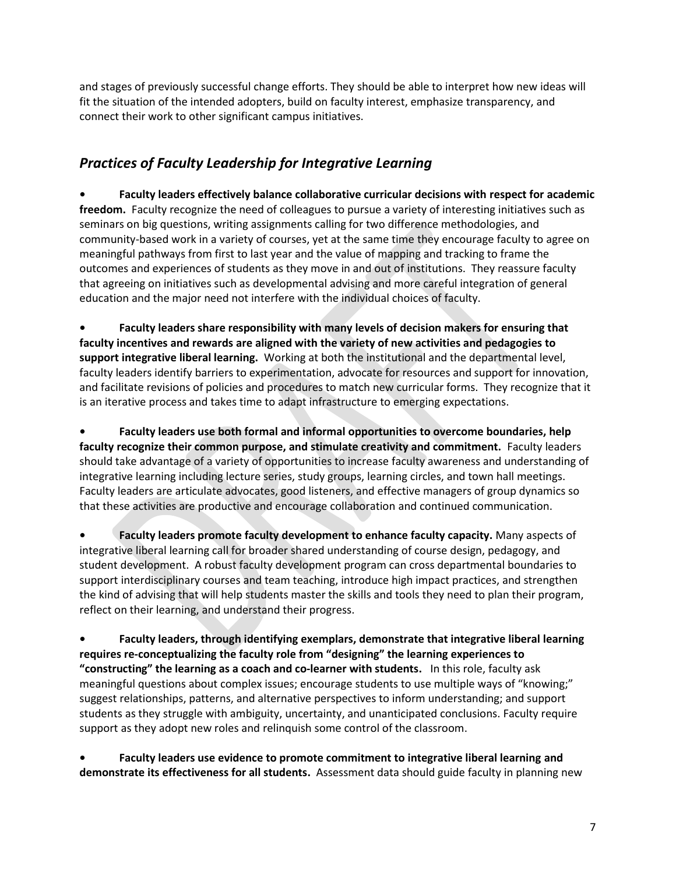and stages of previously successful change efforts. They should be able to interpret how new ideas will fit the situation of the intended adopters, build on faculty interest, emphasize transparency, and connect their work to other significant campus initiatives.

#### *Practices of Faculty Leadership for Integrative Learning*

**• Faculty leaders effectively balance collaborative curricular decisions with respect for academic freedom.** Faculty recognize the need of colleagues to pursue a variety of interesting initiatives such as seminars on big questions, writing assignments calling for two difference methodologies, and community-based work in a variety of courses, yet at the same time they encourage faculty to agree on meaningful pathways from first to last year and the value of mapping and tracking to frame the outcomes and experiences of students as they move in and out of institutions. They reassure faculty that agreeing on initiatives such as developmental advising and more careful integration of general education and the major need not interfere with the individual choices of faculty.

**• Faculty leaders share responsibility with many levels of decision makers for ensuring that faculty incentives and rewards are aligned with the variety of new activities and pedagogies to support integrative liberal learning.** Working at both the institutional and the departmental level, faculty leaders identify barriers to experimentation, advocate for resources and support for innovation, and facilitate revisions of policies and procedures to match new curricular forms. They recognize that it is an iterative process and takes time to adapt infrastructure to emerging expectations.

**• Faculty leaders use both formal and informal opportunities to overcome boundaries, help faculty recognize their common purpose, and stimulate creativity and commitment.** Faculty leaders should take advantage of a variety of opportunities to increase faculty awareness and understanding of integrative learning including lecture series, study groups, learning circles, and town hall meetings. Faculty leaders are articulate advocates, good listeners, and effective managers of group dynamics so that these activities are productive and encourage collaboration and continued communication.

**• Faculty leaders promote faculty development to enhance faculty capacity.** Many aspects of integrative liberal learning call for broader shared understanding of course design, pedagogy, and student development. A robust faculty development program can cross departmental boundaries to support interdisciplinary courses and team teaching, introduce high impact practices, and strengthen the kind of advising that will help students master the skills and tools they need to plan their program, reflect on their learning, and understand their progress.

**• Faculty leaders, through identifying exemplars, demonstrate that integrative liberal learning requires re-conceptualizing the faculty role from "designing" the learning experiences to "constructing" the learning as a coach and co-learner with students.** In this role, faculty ask meaningful questions about complex issues; encourage students to use multiple ways of "knowing;" suggest relationships, patterns, and alternative perspectives to inform understanding; and support students as they struggle with ambiguity, uncertainty, and unanticipated conclusions. Faculty require support as they adopt new roles and relinquish some control of the classroom.

**• Faculty leaders use evidence to promote commitment to integrative liberal learning and demonstrate its effectiveness for all students.** Assessment data should guide faculty in planning new